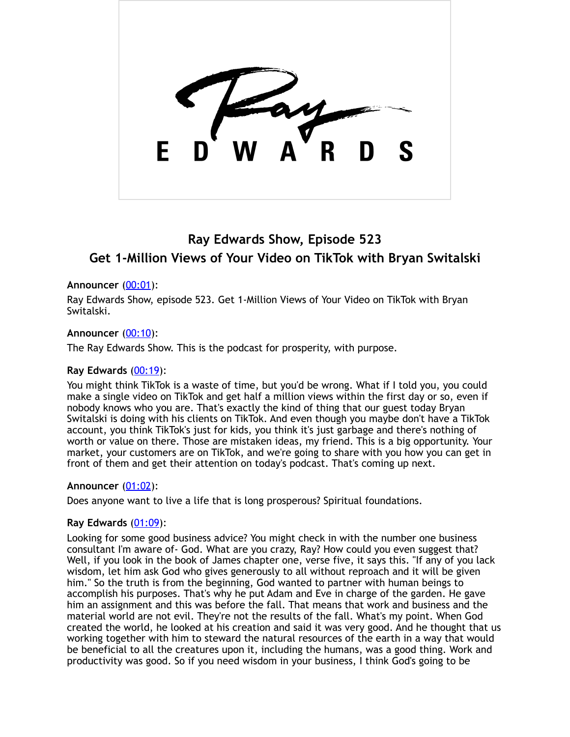# **Ray Edwards Show, Episode 523 Get 1-Million Views of Your Video on TikTok with Bryan Switalski**

## **Announcer** [\(00:01](https://www.temi.com/editor/t/zi4zIUtqnMhHRlxZSFfh454aWPXsHtcCnfUhITXxoQCZDRDwfDKoUW5CG9nXk1N3983ZCSKze46-8wz9RFqgbzebvpc?loadFrom=DocumentDeeplink&ts=1.02)):

Ray Edwards Show, episode 523. Get 1-Million Views of Your Video on TikTok with Bryan Switalski.

## **Announcer** [\(00:10](https://www.temi.com/editor/t/zi4zIUtqnMhHRlxZSFfh454aWPXsHtcCnfUhITXxoQCZDRDwfDKoUW5CG9nXk1N3983ZCSKze46-8wz9RFqgbzebvpc?loadFrom=DocumentDeeplink&ts=10.14)):

The Ray Edwards Show. This is the podcast for prosperity, with purpose.

#### **Ray Edwards** [\(00:19](https://www.temi.com/editor/t/zi4zIUtqnMhHRlxZSFfh454aWPXsHtcCnfUhITXxoQCZDRDwfDKoUW5CG9nXk1N3983ZCSKze46-8wz9RFqgbzebvpc?loadFrom=DocumentDeeplink&ts=19.13)):

You might think TikTok is a waste of time, but you'd be wrong. What if I told you, you could make a single video on TikTok and get half a million views within the first day or so, even if nobody knows who you are. That's exactly the kind of thing that our guest today Bryan Switalski is doing with his clients on TikTok. And even though you maybe don't have a TikTok account, you think TikTok's just for kids, you think it's just garbage and there's nothing of worth or value on there. Those are mistaken ideas, my friend. This is a big opportunity. Your market, your customers are on TikTok, and we're going to share with you how you can get in front of them and get their attention on today's podcast. That's coming up next.

#### **Announcer** [\(01:02](https://www.temi.com/editor/t/zi4zIUtqnMhHRlxZSFfh454aWPXsHtcCnfUhITXxoQCZDRDwfDKoUW5CG9nXk1N3983ZCSKze46-8wz9RFqgbzebvpc?loadFrom=DocumentDeeplink&ts=62.39)):

Does anyone want to live a life that is long prosperous? Spiritual foundations.

#### **Ray Edwards** [\(01:09](https://www.temi.com/editor/t/zi4zIUtqnMhHRlxZSFfh454aWPXsHtcCnfUhITXxoQCZDRDwfDKoUW5CG9nXk1N3983ZCSKze46-8wz9RFqgbzebvpc?loadFrom=DocumentDeeplink&ts=69.08)):

Looking for some good business advice? You might check in with the number one business consultant I'm aware of- God. What are you crazy, Ray? How could you even suggest that? Well, if you look in the book of James chapter one, verse five, it says this. "If any of you lack wisdom, let him ask God who gives generously to all without reproach and it will be given him." So the truth is from the beginning, God wanted to partner with human beings to accomplish his purposes. That's why he put Adam and Eve in charge of the garden. He gave him an assignment and this was before the fall. That means that work and business and the material world are not evil. They're not the results of the fall. What's my point. When God created the world, he looked at his creation and said it was very good. And he thought that us working together with him to steward the natural resources of the earth in a way that would be beneficial to all the creatures upon it, including the humans, was a good thing. Work and productivity was good. So if you need wisdom in your business, I think God's going to be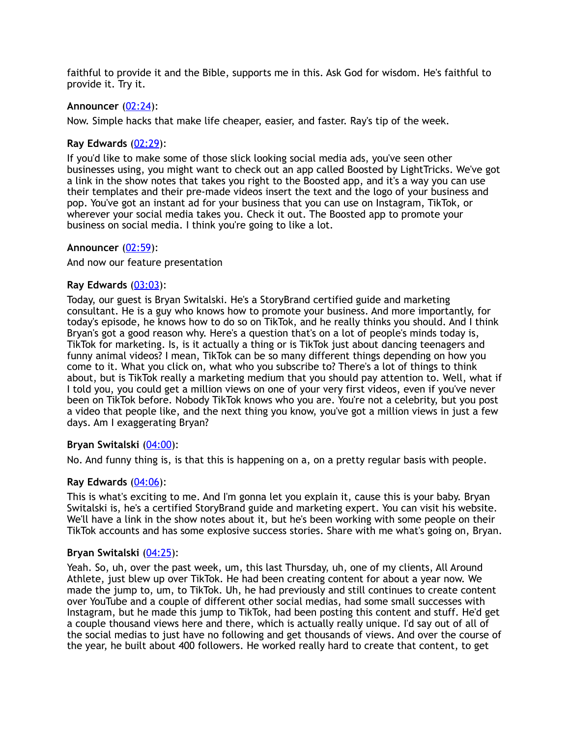faithful to provide it and the Bible, supports me in this. Ask God for wisdom. He's faithful to provide it. Try it.

## **Announcer** [\(02:24](https://www.temi.com/editor/t/zi4zIUtqnMhHRlxZSFfh454aWPXsHtcCnfUhITXxoQCZDRDwfDKoUW5CG9nXk1N3983ZCSKze46-8wz9RFqgbzebvpc?loadFrom=DocumentDeeplink&ts=144.32)):

Now. Simple hacks that make life cheaper, easier, and faster. Ray's tip of the week.

#### **Ray Edwards** [\(02:29](https://www.temi.com/editor/t/zi4zIUtqnMhHRlxZSFfh454aWPXsHtcCnfUhITXxoQCZDRDwfDKoUW5CG9nXk1N3983ZCSKze46-8wz9RFqgbzebvpc?loadFrom=DocumentDeeplink&ts=149.33)):

If you'd like to make some of those slick looking social media ads, you've seen other businesses using, you might want to check out an app called Boosted by LightTricks. We've got a link in the show notes that takes you right to the Boosted app, and it's a way you can use their templates and their pre-made videos insert the text and the logo of your business and pop. You've got an instant ad for your business that you can use on Instagram, TikTok, or wherever your social media takes you. Check it out. The Boosted app to promote your business on social media. I think you're going to like a lot.

#### **Announcer** [\(02:59](https://www.temi.com/editor/t/zi4zIUtqnMhHRlxZSFfh454aWPXsHtcCnfUhITXxoQCZDRDwfDKoUW5CG9nXk1N3983ZCSKze46-8wz9RFqgbzebvpc?loadFrom=DocumentDeeplink&ts=179.29)):

#### And now our feature presentation

#### **Ray Edwards** [\(03:03](https://www.temi.com/editor/t/zi4zIUtqnMhHRlxZSFfh454aWPXsHtcCnfUhITXxoQCZDRDwfDKoUW5CG9nXk1N3983ZCSKze46-8wz9RFqgbzebvpc?loadFrom=DocumentDeeplink&ts=183.04)):

Today, our guest is Bryan Switalski. He's a StoryBrand certified guide and marketing consultant. He is a guy who knows how to promote your business. And more importantly, for today's episode, he knows how to do so on TikTok, and he really thinks you should. And I think Bryan's got a good reason why. Here's a question that's on a lot of people's minds today is, TikTok for marketing. Is, is it actually a thing or is TikTok just about dancing teenagers and funny animal videos? I mean, TikTok can be so many different things depending on how you come to it. What you click on, what who you subscribe to? There's a lot of things to think about, but is TikTok really a marketing medium that you should pay attention to. Well, what if I told you, you could get a million views on one of your very first videos, even if you've never been on TikTok before. Nobody TikTok knows who you are. You're not a celebrity, but you post a video that people like, and the next thing you know, you've got a million views in just a few days. Am I exaggerating Bryan?

#### **Bryan Switalski** [\(04:00](https://www.temi.com/editor/t/zi4zIUtqnMhHRlxZSFfh454aWPXsHtcCnfUhITXxoQCZDRDwfDKoUW5CG9nXk1N3983ZCSKze46-8wz9RFqgbzebvpc?loadFrom=DocumentDeeplink&ts=240.81)):

No. And funny thing is, is that this is happening on a, on a pretty regular basis with people.

#### **Ray Edwards** [\(04:06](https://www.temi.com/editor/t/zi4zIUtqnMhHRlxZSFfh454aWPXsHtcCnfUhITXxoQCZDRDwfDKoUW5CG9nXk1N3983ZCSKze46-8wz9RFqgbzebvpc?loadFrom=DocumentDeeplink&ts=246.96)):

This is what's exciting to me. And I'm gonna let you explain it, cause this is your baby. Bryan Switalski is, he's a certified StoryBrand guide and marketing expert. You can visit his website. We'll have a link in the show notes about it, but he's been working with some people on their TikTok accounts and has some explosive success stories. Share with me what's going on, Bryan.

#### **Bryan Switalski** [\(04:25](https://www.temi.com/editor/t/zi4zIUtqnMhHRlxZSFfh454aWPXsHtcCnfUhITXxoQCZDRDwfDKoUW5CG9nXk1N3983ZCSKze46-8wz9RFqgbzebvpc?loadFrom=DocumentDeeplink&ts=265.95)):

Yeah. So, uh, over the past week, um, this last Thursday, uh, one of my clients, All Around Athlete, just blew up over TikTok. He had been creating content for about a year now. We made the jump to, um, to TikTok. Uh, he had previously and still continues to create content over YouTube and a couple of different other social medias, had some small successes with Instagram, but he made this jump to TikTok, had been posting this content and stuff. He'd get a couple thousand views here and there, which is actually really unique. I'd say out of all of the social medias to just have no following and get thousands of views. And over the course of the year, he built about 400 followers. He worked really hard to create that content, to get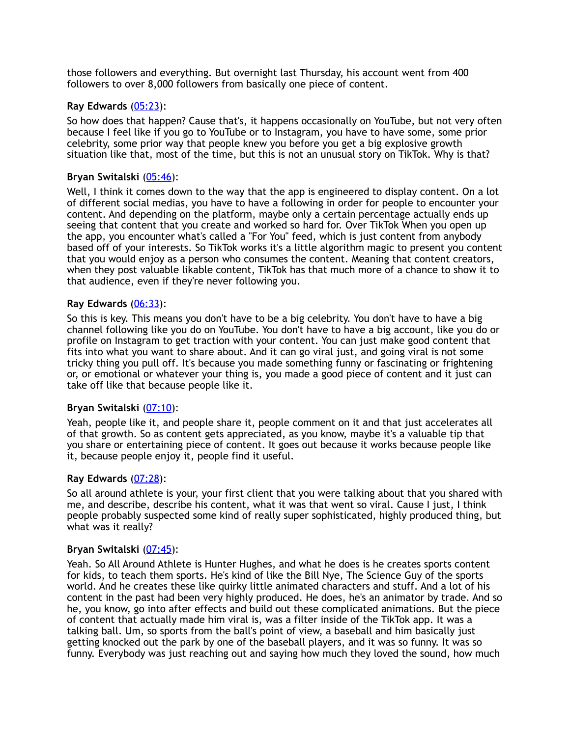those followers and everything. But overnight last Thursday, his account went from 400 followers to over 8,000 followers from basically one piece of content.

#### **Ray Edwards** [\(05:23](https://www.temi.com/editor/t/zi4zIUtqnMhHRlxZSFfh454aWPXsHtcCnfUhITXxoQCZDRDwfDKoUW5CG9nXk1N3983ZCSKze46-8wz9RFqgbzebvpc?loadFrom=DocumentDeeplink&ts=323.7)):

So how does that happen? Cause that's, it happens occasionally on YouTube, but not very often because I feel like if you go to YouTube or to Instagram, you have to have some, some prior celebrity, some prior way that people knew you before you get a big explosive growth situation like that, most of the time, but this is not an unusual story on TikTok. Why is that?

#### **Bryan Switalski** [\(05:46](https://www.temi.com/editor/t/zi4zIUtqnMhHRlxZSFfh454aWPXsHtcCnfUhITXxoQCZDRDwfDKoUW5CG9nXk1N3983ZCSKze46-8wz9RFqgbzebvpc?loadFrom=DocumentDeeplink&ts=346.71)):

Well, I think it comes down to the way that the app is engineered to display content. On a lot of different social medias, you have to have a following in order for people to encounter your content. And depending on the platform, maybe only a certain percentage actually ends up seeing that content that you create and worked so hard for. Over TikTok When you open up the app, you encounter what's called a "For You" feed, which is just content from anybody based off of your interests. So TikTok works it's a little algorithm magic to present you content that you would enjoy as a person who consumes the content. Meaning that content creators, when they post valuable likable content, TikTok has that much more of a chance to show it to that audience, even if they're never following you.

#### **Ray Edwards** [\(06:33](https://www.temi.com/editor/t/zi4zIUtqnMhHRlxZSFfh454aWPXsHtcCnfUhITXxoQCZDRDwfDKoUW5CG9nXk1N3983ZCSKze46-8wz9RFqgbzebvpc?loadFrom=DocumentDeeplink&ts=393.13)):

So this is key. This means you don't have to be a big celebrity. You don't have to have a big channel following like you do on YouTube. You don't have to have a big account, like you do or profile on Instagram to get traction with your content. You can just make good content that fits into what you want to share about. And it can go viral just, and going viral is not some tricky thing you pull off. It's because you made something funny or fascinating or frightening or, or emotional or whatever your thing is, you made a good piece of content and it just can take off like that because people like it.

#### **Bryan Switalski** [\(07:10](https://www.temi.com/editor/t/zi4zIUtqnMhHRlxZSFfh454aWPXsHtcCnfUhITXxoQCZDRDwfDKoUW5CG9nXk1N3983ZCSKze46-8wz9RFqgbzebvpc?loadFrom=DocumentDeeplink&ts=430.03)):

Yeah, people like it, and people share it, people comment on it and that just accelerates all of that growth. So as content gets appreciated, as you know, maybe it's a valuable tip that you share or entertaining piece of content. It goes out because it works because people like it, because people enjoy it, people find it useful.

# **Ray Edwards** [\(07:28](https://www.temi.com/editor/t/zi4zIUtqnMhHRlxZSFfh454aWPXsHtcCnfUhITXxoQCZDRDwfDKoUW5CG9nXk1N3983ZCSKze46-8wz9RFqgbzebvpc?loadFrom=DocumentDeeplink&ts=448.72)):

So all around athlete is your, your first client that you were talking about that you shared with me, and describe, describe his content, what it was that went so viral. Cause I just, I think people probably suspected some kind of really super sophisticated, highly produced thing, but what was it really?

#### **Bryan Switalski** [\(07:45](https://www.temi.com/editor/t/zi4zIUtqnMhHRlxZSFfh454aWPXsHtcCnfUhITXxoQCZDRDwfDKoUW5CG9nXk1N3983ZCSKze46-8wz9RFqgbzebvpc?loadFrom=DocumentDeeplink&ts=465.61)):

Yeah. So All Around Athlete is Hunter Hughes, and what he does is he creates sports content for kids, to teach them sports. He's kind of like the Bill Nye, The Science Guy of the sports world. And he creates these like quirky little animated characters and stuff. And a lot of his content in the past had been very highly produced. He does, he's an animator by trade. And so he, you know, go into after effects and build out these complicated animations. But the piece of content that actually made him viral is, was a filter inside of the TikTok app. It was a talking ball. Um, so sports from the ball's point of view, a baseball and him basically just getting knocked out the park by one of the baseball players, and it was so funny. It was so funny. Everybody was just reaching out and saying how much they loved the sound, how much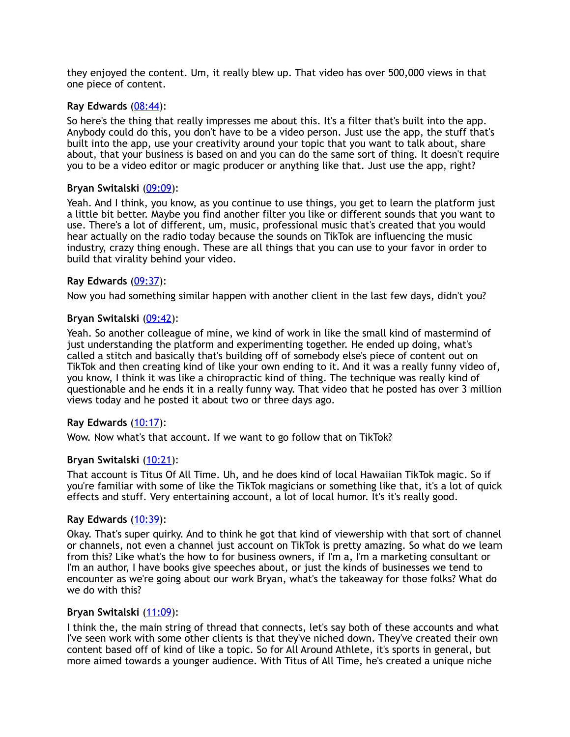they enjoyed the content. Um, it really blew up. That video has over 500,000 views in that one piece of content.

#### **Ray Edwards** [\(08:44](https://www.temi.com/editor/t/zi4zIUtqnMhHRlxZSFfh454aWPXsHtcCnfUhITXxoQCZDRDwfDKoUW5CG9nXk1N3983ZCSKze46-8wz9RFqgbzebvpc?loadFrom=DocumentDeeplink&ts=524.44)):

So here's the thing that really impresses me about this. It's a filter that's built into the app. Anybody could do this, you don't have to be a video person. Just use the app, the stuff that's built into the app, use your creativity around your topic that you want to talk about, share about, that your business is based on and you can do the same sort of thing. It doesn't require you to be a video editor or magic producer or anything like that. Just use the app, right?

#### **Bryan Switalski** [\(09:09](https://www.temi.com/editor/t/zi4zIUtqnMhHRlxZSFfh454aWPXsHtcCnfUhITXxoQCZDRDwfDKoUW5CG9nXk1N3983ZCSKze46-8wz9RFqgbzebvpc?loadFrom=DocumentDeeplink&ts=549.8)):

Yeah. And I think, you know, as you continue to use things, you get to learn the platform just a little bit better. Maybe you find another filter you like or different sounds that you want to use. There's a lot of different, um, music, professional music that's created that you would hear actually on the radio today because the sounds on TikTok are influencing the music industry, crazy thing enough. These are all things that you can use to your favor in order to build that virality behind your video.

#### **Ray Edwards** [\(09:37](https://www.temi.com/editor/t/zi4zIUtqnMhHRlxZSFfh454aWPXsHtcCnfUhITXxoQCZDRDwfDKoUW5CG9nXk1N3983ZCSKze46-8wz9RFqgbzebvpc?loadFrom=DocumentDeeplink&ts=577.07)):

Now you had something similar happen with another client in the last few days, didn't you?

#### **Bryan Switalski** [\(09:42](https://www.temi.com/editor/t/zi4zIUtqnMhHRlxZSFfh454aWPXsHtcCnfUhITXxoQCZDRDwfDKoUW5CG9nXk1N3983ZCSKze46-8wz9RFqgbzebvpc?loadFrom=DocumentDeeplink&ts=582.86)):

Yeah. So another colleague of mine, we kind of work in like the small kind of mastermind of just understanding the platform and experimenting together. He ended up doing, what's called a stitch and basically that's building off of somebody else's piece of content out on TikTok and then creating kind of like your own ending to it. And it was a really funny video of, you know, I think it was like a chiropractic kind of thing. The technique was really kind of questionable and he ends it in a really funny way. That video that he posted has over 3 million views today and he posted it about two or three days ago.

#### **Ray Edwards** [\(10:17](https://www.temi.com/editor/t/zi4zIUtqnMhHRlxZSFfh454aWPXsHtcCnfUhITXxoQCZDRDwfDKoUW5CG9nXk1N3983ZCSKze46-8wz9RFqgbzebvpc?loadFrom=DocumentDeeplink&ts=617.84)):

Wow. Now what's that account. If we want to go follow that on TikTok?

#### **Bryan Switalski** [\(10:21](https://www.temi.com/editor/t/zi4zIUtqnMhHRlxZSFfh454aWPXsHtcCnfUhITXxoQCZDRDwfDKoUW5CG9nXk1N3983ZCSKze46-8wz9RFqgbzebvpc?loadFrom=DocumentDeeplink&ts=621.83)):

That account is Titus Of All Time. Uh, and he does kind of local Hawaiian TikTok magic. So if you're familiar with some of like the TikTok magicians or something like that, it's a lot of quick effects and stuff. Very entertaining account, a lot of local humor. It's it's really good.

#### **Ray Edwards** [\(10:39](https://www.temi.com/editor/t/zi4zIUtqnMhHRlxZSFfh454aWPXsHtcCnfUhITXxoQCZDRDwfDKoUW5CG9nXk1N3983ZCSKze46-8wz9RFqgbzebvpc?loadFrom=DocumentDeeplink&ts=639.95)):

Okay. That's super quirky. And to think he got that kind of viewership with that sort of channel or channels, not even a channel just account on TikTok is pretty amazing. So what do we learn from this? Like what's the how to for business owners, if I'm a, I'm a marketing consultant or I'm an author, I have books give speeches about, or just the kinds of businesses we tend to encounter as we're going about our work Bryan, what's the takeaway for those folks? What do we do with this?

#### **Bryan Switalski** [\(11:09](https://www.temi.com/editor/t/zi4zIUtqnMhHRlxZSFfh454aWPXsHtcCnfUhITXxoQCZDRDwfDKoUW5CG9nXk1N3983ZCSKze46-8wz9RFqgbzebvpc?loadFrom=DocumentDeeplink&ts=669.41)):

I think the, the main string of thread that connects, let's say both of these accounts and what I've seen work with some other clients is that they've niched down. They've created their own content based off of kind of like a topic. So for All Around Athlete, it's sports in general, but more aimed towards a younger audience. With Titus of All Time, he's created a unique niche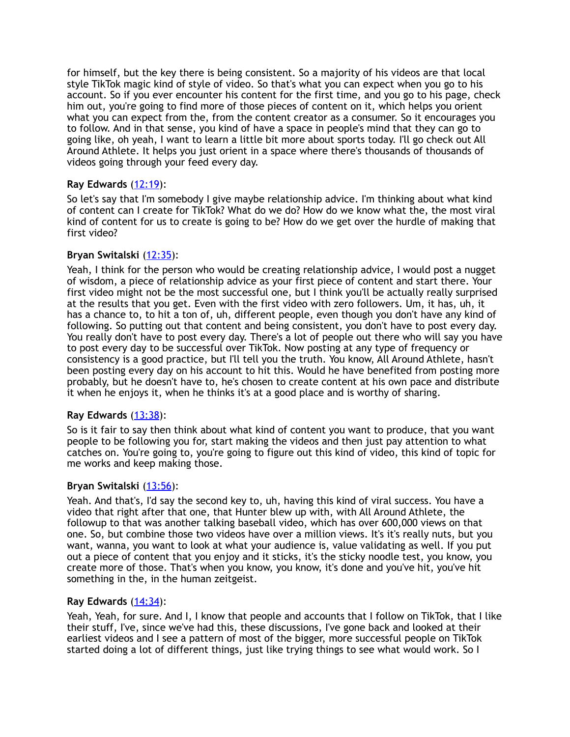for himself, but the key there is being consistent. So a majority of his videos are that local style TikTok magic kind of style of video. So that's what you can expect when you go to his account. So if you ever encounter his content for the first time, and you go to his page, check him out, you're going to find more of those pieces of content on it, which helps you orient what you can expect from the, from the content creator as a consumer. So it encourages you to follow. And in that sense, you kind of have a space in people's mind that they can go to going like, oh yeah, I want to learn a little bit more about sports today. I'll go check out All Around Athlete. It helps you just orient in a space where there's thousands of thousands of videos going through your feed every day.

## **Ray Edwards** [\(12:19](https://www.temi.com/editor/t/zi4zIUtqnMhHRlxZSFfh454aWPXsHtcCnfUhITXxoQCZDRDwfDKoUW5CG9nXk1N3983ZCSKze46-8wz9RFqgbzebvpc?loadFrom=DocumentDeeplink&ts=739.62)):

So let's say that I'm somebody I give maybe relationship advice. I'm thinking about what kind of content can I create for TikTok? What do we do? How do we know what the, the most viral kind of content for us to create is going to be? How do we get over the hurdle of making that first video?

## **Bryan Switalski** [\(12:35](https://www.temi.com/editor/t/zi4zIUtqnMhHRlxZSFfh454aWPXsHtcCnfUhITXxoQCZDRDwfDKoUW5CG9nXk1N3983ZCSKze46-8wz9RFqgbzebvpc?loadFrom=DocumentDeeplink&ts=755.37)):

Yeah, I think for the person who would be creating relationship advice, I would post a nugget of wisdom, a piece of relationship advice as your first piece of content and start there. Your first video might not be the most successful one, but I think you'll be actually really surprised at the results that you get. Even with the first video with zero followers. Um, it has, uh, it has a chance to, to hit a ton of, uh, different people, even though you don't have any kind of following. So putting out that content and being consistent, you don't have to post every day. You really don't have to post every day. There's a lot of people out there who will say you have to post every day to be successful over TikTok. Now posting at any type of frequency or consistency is a good practice, but I'll tell you the truth. You know, All Around Athlete, hasn't been posting every day on his account to hit this. Would he have benefited from posting more probably, but he doesn't have to, he's chosen to create content at his own pace and distribute it when he enjoys it, when he thinks it's at a good place and is worthy of sharing.

# **Ray Edwards** [\(13:38](https://www.temi.com/editor/t/zi4zIUtqnMhHRlxZSFfh454aWPXsHtcCnfUhITXxoQCZDRDwfDKoUW5CG9nXk1N3983ZCSKze46-8wz9RFqgbzebvpc?loadFrom=DocumentDeeplink&ts=818.82)):

So is it fair to say then think about what kind of content you want to produce, that you want people to be following you for, start making the videos and then just pay attention to what catches on. You're going to, you're going to figure out this kind of video, this kind of topic for me works and keep making those.

#### **Bryan Switalski** [\(13:56](https://www.temi.com/editor/t/zi4zIUtqnMhHRlxZSFfh454aWPXsHtcCnfUhITXxoQCZDRDwfDKoUW5CG9nXk1N3983ZCSKze46-8wz9RFqgbzebvpc?loadFrom=DocumentDeeplink&ts=836.7)):

Yeah. And that's, I'd say the second key to, uh, having this kind of viral success. You have a video that right after that one, that Hunter blew up with, with All Around Athlete, the followup to that was another talking baseball video, which has over 600,000 views on that one. So, but combine those two videos have over a million views. It's it's really nuts, but you want, wanna, you want to look at what your audience is, value validating as well. If you put out a piece of content that you enjoy and it sticks, it's the sticky noodle test, you know, you create more of those. That's when you know, you know, it's done and you've hit, you've hit something in the, in the human zeitgeist.

#### **Ray Edwards** [\(14:34](https://www.temi.com/editor/t/zi4zIUtqnMhHRlxZSFfh454aWPXsHtcCnfUhITXxoQCZDRDwfDKoUW5CG9nXk1N3983ZCSKze46-8wz9RFqgbzebvpc?loadFrom=DocumentDeeplink&ts=874.8)):

Yeah, Yeah, for sure. And I, I know that people and accounts that I follow on TikTok, that I like their stuff, I've, since we've had this, these discussions, I've gone back and looked at their earliest videos and I see a pattern of most of the bigger, more successful people on TikTok started doing a lot of different things, just like trying things to see what would work. So I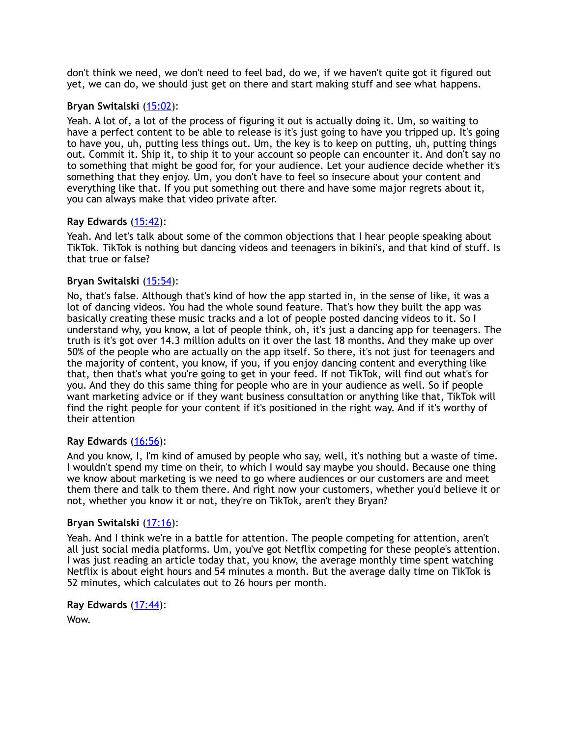don't think we need, we don't need to feel bad, do we, if we haven't quite got it figured out yet, we can do, we should just get on there and start making stuff and see what happens.

# **Bryan Switalski** [\(15:02](https://www.temi.com/editor/t/zi4zIUtqnMhHRlxZSFfh454aWPXsHtcCnfUhITXxoQCZDRDwfDKoUW5CG9nXk1N3983ZCSKze46-8wz9RFqgbzebvpc?loadFrom=DocumentDeeplink&ts=902.71)):

Yeah. A lot of, a lot of the process of figuring it out is actually doing it. Um, so waiting to have a perfect content to be able to release is it's just going to have you tripped up. It's going to have you, uh, putting less things out. Um, the key is to keep on putting, uh, putting things out. Commit it. Ship it, to ship it to your account so people can encounter it. And don't say no to something that might be good for, for your audience. Let your audience decide whether it's something that they enjoy. Um, you don't have to feel so insecure about your content and everything like that. If you put something out there and have some major regrets about it, you can always make that video private after.

# **Ray Edwards** [\(15:42](https://www.temi.com/editor/t/zi4zIUtqnMhHRlxZSFfh454aWPXsHtcCnfUhITXxoQCZDRDwfDKoUW5CG9nXk1N3983ZCSKze46-8wz9RFqgbzebvpc?loadFrom=DocumentDeeplink&ts=942.88)):

Yeah. And let's talk about some of the common objections that I hear people speaking about TikTok. TikTok is nothing but dancing videos and teenagers in bikini's, and that kind of stuff. Is that true or false?

# **Bryan Switalski** [\(15:54](https://www.temi.com/editor/t/zi4zIUtqnMhHRlxZSFfh454aWPXsHtcCnfUhITXxoQCZDRDwfDKoUW5CG9nXk1N3983ZCSKze46-8wz9RFqgbzebvpc?loadFrom=DocumentDeeplink&ts=954.97)):

No, that's false. Although that's kind of how the app started in, in the sense of like, it was a lot of dancing videos. You had the whole sound feature. That's how they built the app was basically creating these music tracks and a lot of people posted dancing videos to it. So I understand why, you know, a lot of people think, oh, it's just a dancing app for teenagers. The truth is it's got over 14.3 million adults on it over the last 18 months. And they make up over 50% of the people who are actually on the app itself. So there, it's not just for teenagers and the majority of content, you know, if you, if you enjoy dancing content and everything like that, then that's what you're going to get in your feed. If not TikTok, will find out what's for you. And they do this same thing for people who are in your audience as well. So if people want marketing advice or if they want business consultation or anything like that, TikTok will find the right people for your content if it's positioned in the right way. And if it's worthy of their attention

# **Ray Edwards** [\(16:56](https://www.temi.com/editor/t/zi4zIUtqnMhHRlxZSFfh454aWPXsHtcCnfUhITXxoQCZDRDwfDKoUW5CG9nXk1N3983ZCSKze46-8wz9RFqgbzebvpc?loadFrom=DocumentDeeplink&ts=1016.38)):

And you know, I, I'm kind of amused by people who say, well, it's nothing but a waste of time. I wouldn't spend my time on their, to which I would say maybe you should. Because one thing we know about marketing is we need to go where audiences or our customers are and meet them there and talk to them there. And right now your customers, whether you'd believe it or not, whether you know it or not, they're on TikTok, aren't they Bryan?

# **Bryan Switalski** [\(17:16](https://www.temi.com/editor/t/zi4zIUtqnMhHRlxZSFfh454aWPXsHtcCnfUhITXxoQCZDRDwfDKoUW5CG9nXk1N3983ZCSKze46-8wz9RFqgbzebvpc?loadFrom=DocumentDeeplink&ts=1036.69)):

Yeah. And I think we're in a battle for attention. The people competing for attention, aren't all just social media platforms. Um, you've got Netflix competing for these people's attention. I was just reading an article today that, you know, the average monthly time spent watching Netflix is about eight hours and 54 minutes a month. But the average daily time on TikTok is 52 minutes, which calculates out to 26 hours per month.

**Ray Edwards** [\(17:44](https://www.temi.com/editor/t/zi4zIUtqnMhHRlxZSFfh454aWPXsHtcCnfUhITXxoQCZDRDwfDKoUW5CG9nXk1N3983ZCSKze46-8wz9RFqgbzebvpc?loadFrom=DocumentDeeplink&ts=1064.2)): Wow.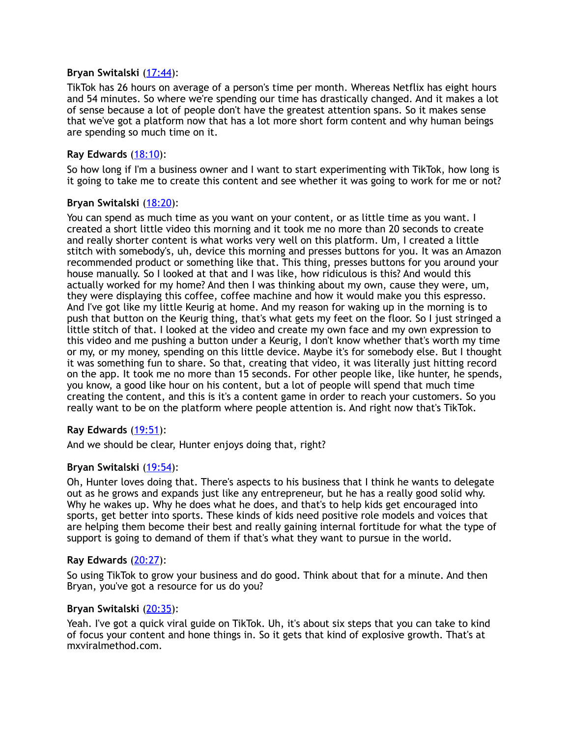#### **Bryan Switalski** [\(17:44](https://www.temi.com/editor/t/zi4zIUtqnMhHRlxZSFfh454aWPXsHtcCnfUhITXxoQCZDRDwfDKoUW5CG9nXk1N3983ZCSKze46-8wz9RFqgbzebvpc?loadFrom=DocumentDeeplink&ts=1064.86)):

TikTok has 26 hours on average of a person's time per month. Whereas Netflix has eight hours and 54 minutes. So where we're spending our time has drastically changed. And it makes a lot of sense because a lot of people don't have the greatest attention spans. So it makes sense that we've got a platform now that has a lot more short form content and why human beings are spending so much time on it.

## **Ray Edwards** [\(18:10](https://www.temi.com/editor/t/zi4zIUtqnMhHRlxZSFfh454aWPXsHtcCnfUhITXxoQCZDRDwfDKoUW5CG9nXk1N3983ZCSKze46-8wz9RFqgbzebvpc?loadFrom=DocumentDeeplink&ts=1090.16)):

So how long if I'm a business owner and I want to start experimenting with TikTok, how long is it going to take me to create this content and see whether it was going to work for me or not?

#### **Bryan Switalski** [\(18:20](https://www.temi.com/editor/t/zi4zIUtqnMhHRlxZSFfh454aWPXsHtcCnfUhITXxoQCZDRDwfDKoUW5CG9nXk1N3983ZCSKze46-8wz9RFqgbzebvpc?loadFrom=DocumentDeeplink&ts=1100.06)):

You can spend as much time as you want on your content, or as little time as you want. I created a short little video this morning and it took me no more than 20 seconds to create and really shorter content is what works very well on this platform. Um, I created a little stitch with somebody's, uh, device this morning and presses buttons for you. It was an Amazon recommended product or something like that. This thing, presses buttons for you around your house manually. So I looked at that and I was like, how ridiculous is this? And would this actually worked for my home? And then I was thinking about my own, cause they were, um, they were displaying this coffee, coffee machine and how it would make you this espresso. And I've got like my little Keurig at home. And my reason for waking up in the morning is to push that button on the Keurig thing, that's what gets my feet on the floor. So I just stringed a little stitch of that. I looked at the video and create my own face and my own expression to this video and me pushing a button under a Keurig, I don't know whether that's worth my time or my, or my money, spending on this little device. Maybe it's for somebody else. But I thought it was something fun to share. So that, creating that video, it was literally just hitting record on the app. It took me no more than 15 seconds. For other people like, like hunter, he spends, you know, a good like hour on his content, but a lot of people will spend that much time creating the content, and this is it's a content game in order to reach your customers. So you really want to be on the platform where people attention is. And right now that's TikTok.

# **Ray Edwards** [\(19:51](https://www.temi.com/editor/t/zi4zIUtqnMhHRlxZSFfh454aWPXsHtcCnfUhITXxoQCZDRDwfDKoUW5CG9nXk1N3983ZCSKze46-8wz9RFqgbzebvpc?loadFrom=DocumentDeeplink&ts=1191.11)):

And we should be clear, Hunter enjoys doing that, right?

#### **Bryan Switalski** [\(19:54](https://www.temi.com/editor/t/zi4zIUtqnMhHRlxZSFfh454aWPXsHtcCnfUhITXxoQCZDRDwfDKoUW5CG9nXk1N3983ZCSKze46-8wz9RFqgbzebvpc?loadFrom=DocumentDeeplink&ts=1194.17)):

Oh, Hunter loves doing that. There's aspects to his business that I think he wants to delegate out as he grows and expands just like any entrepreneur, but he has a really good solid why. Why he wakes up. Why he does what he does, and that's to help kids get encouraged into sports, get better into sports. These kinds of kids need positive role models and voices that are helping them become their best and really gaining internal fortitude for what the type of support is going to demand of them if that's what they want to pursue in the world.

#### **Ray Edwards** [\(20:27](https://www.temi.com/editor/t/zi4zIUtqnMhHRlxZSFfh454aWPXsHtcCnfUhITXxoQCZDRDwfDKoUW5CG9nXk1N3983ZCSKze46-8wz9RFqgbzebvpc?loadFrom=DocumentDeeplink&ts=1227.38)):

So using TikTok to grow your business and do good. Think about that for a minute. And then Bryan, you've got a resource for us do you?

#### **Bryan Switalski** [\(20:35](https://www.temi.com/editor/t/zi4zIUtqnMhHRlxZSFfh454aWPXsHtcCnfUhITXxoQCZDRDwfDKoUW5CG9nXk1N3983ZCSKze46-8wz9RFqgbzebvpc?loadFrom=DocumentDeeplink&ts=1235.62)):

Yeah. I've got a quick viral guide on TikTok. Uh, it's about six steps that you can take to kind of focus your content and hone things in. So it gets that kind of explosive growth. That's at mxviralmethod.com.